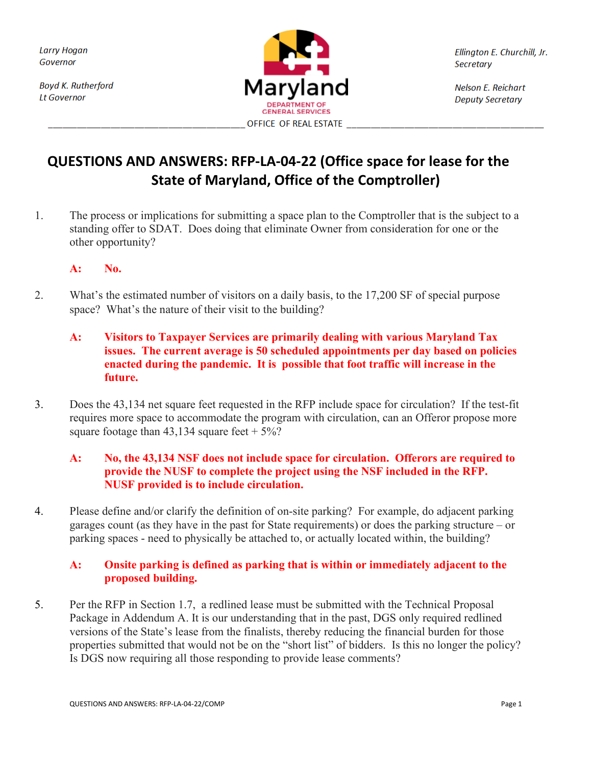**Boyd K. Rutherford Lt Governor** 



Ellington E. Churchill, Jr. **Secretary** 

Nelson E. Reichart **Deputy Secretary** 

# **QUESTIONS AND ANSWERS: RFP-LA-04-22 (Office space for lease for the State of Maryland, Office of the Comptroller)**

1. The process or implications for submitting a space plan to the Comptroller that is the subject to a standing offer to SDAT. Does doing that eliminate Owner from consideration for one or the other opportunity?

#### **A: No.**

- 2. What's the estimated number of visitors on a daily basis, to the 17,200 SF of special purpose space? What's the nature of their visit to the building?
	- **A: Visitors to Taxpayer Services are primarily dealing with various Maryland Tax issues. The current average is 50 scheduled appointments per day based on policies enacted during the pandemic. It is possible that foot traffic will increase in the future.**
- 3. Does the 43,134 net square feet requested in the RFP include space for circulation? If the test-fit requires more space to accommodate the program with circulation, can an Offeror propose more square footage than  $43,134$  square feet  $+5\%$ ?

#### **A: No, the 43,134 NSF does not include space for circulation. Offerors are required to provide the NUSF to complete the project using the NSF included in the RFP. NUSF provided is to include circulation.**

4. Please define and/or clarify the definition of on-site parking? For example, do adjacent parking garages count (as they have in the past for State requirements) or does the parking structure – or parking spaces - need to physically be attached to, or actually located within, the building?

## **A: Onsite parking is defined as parking that is within or immediately adjacent to the proposed building.**

5. Per the RFP in Section 1.7, a redlined lease must be submitted with the Technical Proposal Package in Addendum A. It is our understanding that in the past, DGS only required redlined versions of the State's lease from the finalists, thereby reducing the financial burden for those properties submitted that would not be on the "short list" of bidders. Is this no longer the policy? Is DGS now requiring all those responding to provide lease comments?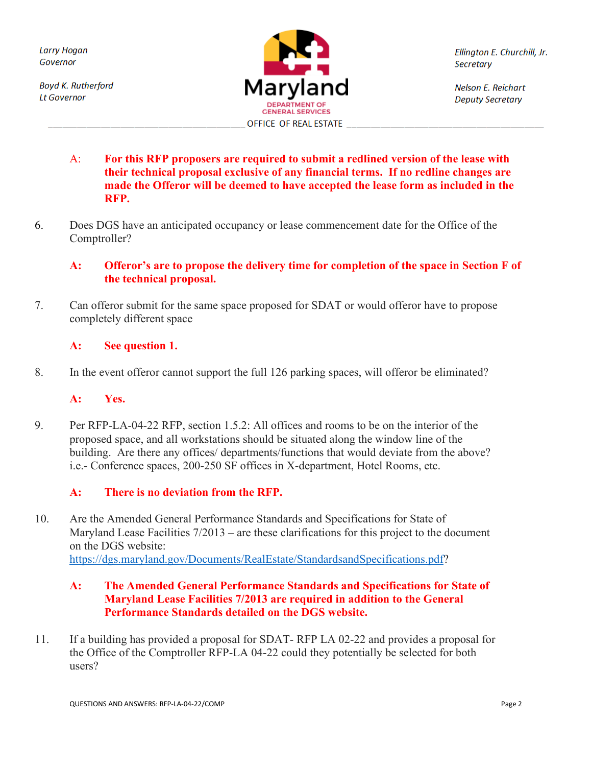**Boyd K. Rutherford Lt Governor** 



Ellington E. Churchill, Jr. **Secretary** 

Nelson E. Reichart **Deputy Secretary** 

- A: **For this RFP proposers are required to submit a redlined version of the lease with their technical proposal exclusive of any financial terms. If no redline changes are made the Offeror will be deemed to have accepted the lease form as included in the RFP.**
- 6. Does DGS have an anticipated occupancy or lease commencement date for the Office of the Comptroller?

## **A: Offeror's are to propose the delivery time for completion of the space in Section F of the technical proposal.**

7. Can offeror submit for the same space proposed for SDAT or would offeror have to propose completely different space

#### **A: See question 1.**

8. In the event offeror cannot support the full 126 parking spaces, will offeror be eliminated?

#### **A: Yes.**

9. Per RFP-LA-04-22 RFP, section 1.5.2: All offices and rooms to be on the interior of the proposed space, and all workstations should be situated along the window line of the building. Are there any offices/ departments/functions that would deviate from the above? i.e.- Conference spaces, 200-250 SF offices in X-department, Hotel Rooms, etc.

#### **A: There is no deviation from the RFP.**

10. Are the Amended General Performance Standards and Specifications for State of Maryland Lease Facilities  $7/2013$  – are these clarifications for this project to the document on the DGS website: [https://dgs.maryland.gov/Documents/RealEstate/StandardsandSpecifications.pdf?](https://urldefense.proofpoint.com/v2/url?u=https-3A__dgs.maryland.gov_Documents_RealEstate_StandardsandSpecifications.pdf&d=DwMFaQ&c=jozbAXBGpZCeJmn-Q9SThA&r=TVp3xUKlONtMMfkkb5I9JnyUKBewXQehs0htLOsea8I&m=Y4Wuw4MxC7jyGEnxKst57d_62yDz2MeG_9M8c-rTZiHNY1QEiTwBfz6jqXr3BnTJ&s=-WLDC83ccj8fvgn61DtLLZ7rgxftqXLJraKsW0SMuT8&e=)

#### **A: The Amended General Performance Standards and Specifications for State of Maryland Lease Facilities 7/2013 are required in addition to the General Performance Standards detailed on the DGS website.**

11. If a building has provided a proposal for SDAT- RFP LA 02-22 and provides a proposal for the Office of the Comptroller RFP-LA 04-22 could they potentially be selected for both users?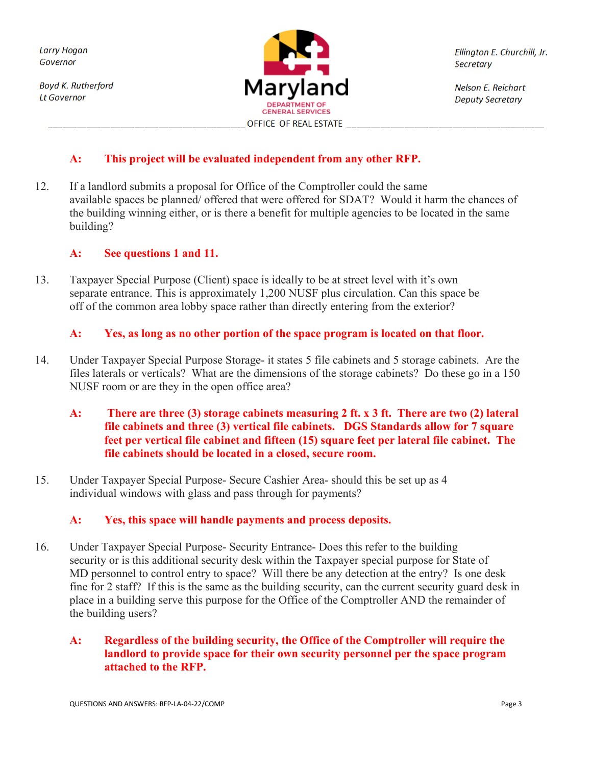**Boyd K. Rutherford Lt Governor** 



Ellington E. Churchill, Jr. **Secretary** 

Nelson E. Reichart **Deputy Secretary** 

# **A: This project will be evaluated independent from any other RFP.**

12. If a landlord submits a proposal for Office of the Comptroller could the same available spaces be planned/ offered that were offered for SDAT? Would it harm the chances of the building winning either, or is there a benefit for multiple agencies to be located in the same building?

#### **A: See questions 1 and 11.**

13. Taxpayer Special Purpose (Client) space is ideally to be at street level with it's own separate entrance. This is approximately 1,200 NUSF plus circulation. Can this space be off of the common area lobby space rather than directly entering from the exterior?

## **A: Yes, as long as no other portion of the space program is located on that floor.**

- 14. Under Taxpayer Special Purpose Storage- it states 5 file cabinets and 5 storage cabinets. Are the files laterals or verticals? What are the dimensions of the storage cabinets? Do these go in a 150 NUSF room or are they in the open office area?
	- **A: There are three (3) storage cabinets measuring 2 ft. x 3 ft. There are two (2) lateral file cabinets and three (3) vertical file cabinets. DGS Standards allow for 7 square feet per vertical file cabinet and fifteen (15) square feet per lateral file cabinet. The file cabinets should be located in a closed, secure room.**
- 15. Under Taxpayer Special Purpose- Secure Cashier Area- should this be set up as 4 individual windows with glass and pass through for payments?

#### **A: Yes, this space will handle payments and process deposits.**

16. Under Taxpayer Special Purpose- Security Entrance- Does this refer to the building security or is this additional security desk within the Taxpayer special purpose for State of MD personnel to control entry to space? Will there be any detection at the entry? Is one desk fine for 2 staff? If this is the same as the building security, can the current security guard desk in place in a building serve this purpose for the Office of the Comptroller AND the remainder of the building users?

## **A: Regardless of the building security, the Office of the Comptroller will require the landlord to provide space for their own security personnel per the space program attached to the RFP.**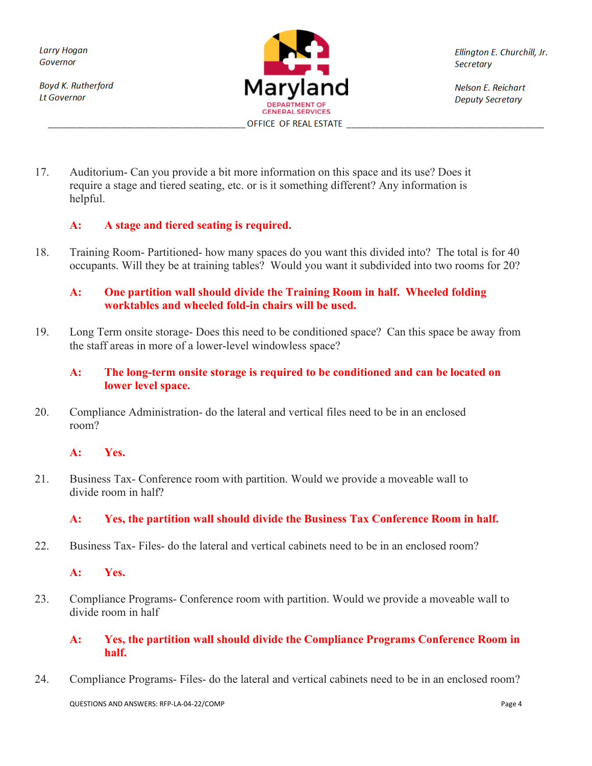**Boyd K. Rutherford Lt Governor** 



Ellington E. Churchill, Jr. **Secretary** 

Nelson E. Reichart **Deputy Secretary** 

17. Auditorium- Can you provide a bit more information on this space and its use? Does it require a stage and tiered seating, etc. or is it something different? Any information is helpful.

## **A: A stage and tiered seating is required.**

18. Training Room- Partitioned- how many spaces do you want this divided into? The total is for 40 occupants. Will they be at training tables? Would you want it subdivided into two rooms for 20?

## **A: One partition wall should divide the Training Room in half. Wheeled folding worktables and wheeled fold-in chairs will be used.**

19. Long Term onsite storage- Does this need to be conditioned space? Can this space be away from the staff areas in more of a lower-level windowless space?

#### **A: The long-term onsite storage is required to be conditioned and can be located on lower level space.**

20. Compliance Administration- do the lateral and vertical files need to be in an enclosed room?

#### **A: Yes.**

21. Business Tax- Conference room with partition. Would we provide a moveable wall to divide room in half?

## **A: Yes, the partition wall should divide the Business Tax Conference Room in half.**

22. Business Tax- Files- do the lateral and vertical cabinets need to be in an enclosed room?

#### **A: Yes.**

23. Compliance Programs- Conference room with partition. Would we provide a moveable wall to divide room in half

#### **A: Yes, the partition wall should divide the Compliance Programs Conference Room in half.**

24. Compliance Programs- Files- do the lateral and vertical cabinets need to be in an enclosed room?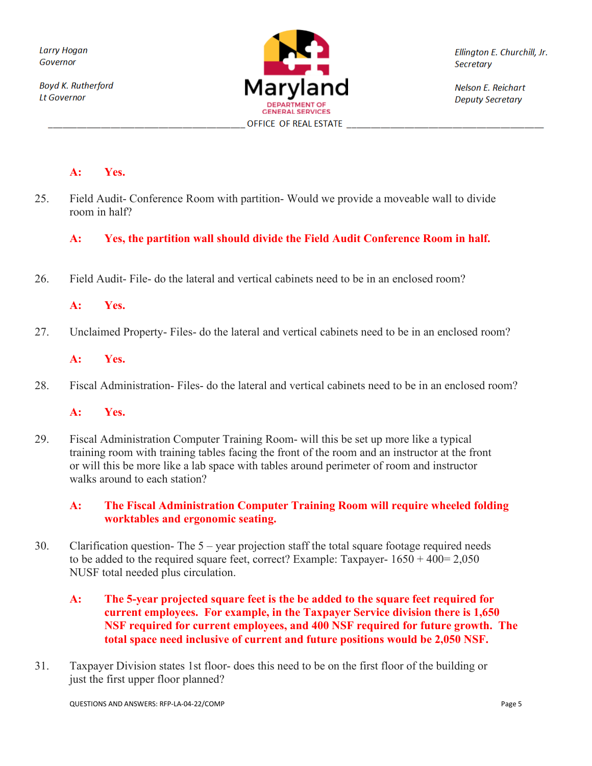**Boyd K. Rutherford Lt Governor** 



Ellington E. Churchill, Jr. **Secretary** 

Nelson E. Reichart **Deputy Secretary** 

#### **A: Yes.**

25. Field Audit- Conference Room with partition- Would we provide a moveable wall to divide room in half?

#### **A: Yes, the partition wall should divide the Field Audit Conference Room in half.**

26. Field Audit- File- do the lateral and vertical cabinets need to be in an enclosed room?

#### **A: Yes.**

27. Unclaimed Property- Files- do the lateral and vertical cabinets need to be in an enclosed room?

#### **A: Yes.**

28. Fiscal Administration- Files- do the lateral and vertical cabinets need to be in an enclosed room?

#### **A: Yes.**

29. Fiscal Administration Computer Training Room- will this be set up more like a typical training room with training tables facing the front of the room and an instructor at the front or will this be more like a lab space with tables around perimeter of room and instructor walks around to each station?

#### **A: The Fiscal Administration Computer Training Room will require wheeled folding worktables and ergonomic seating.**

- 30. Clarification question- The 5 year projection staff the total square footage required needs to be added to the required square feet, correct? Example: Taxpayer-  $1650 + 400 = 2,050$ NUSF total needed plus circulation.
	- **A: The 5-year projected square feet is the be added to the square feet required for current employees. For example, in the Taxpayer Service division there is 1,650 NSF required for current employees, and 400 NSF required for future growth. The total space need inclusive of current and future positions would be 2,050 NSF.**
- 31. Taxpayer Division states 1st floor- does this need to be on the first floor of the building or just the first upper floor planned?